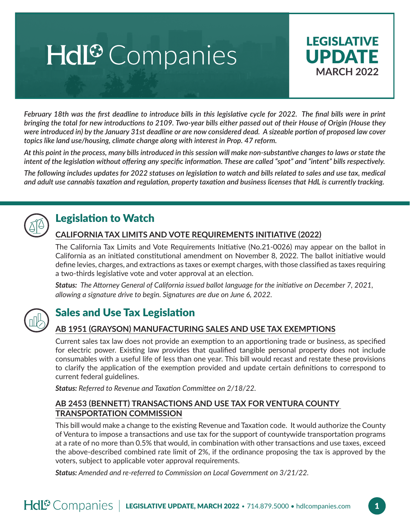# Hdl<sup>®</sup> Companies



*February 18th was the first deadline to introduce bills in this legislative cycle for 2022. The final bills were in print bringing the total for new introductions to 2109. Two-year bills either passed out of their House of Origin (House they were introduced in) by the January 31st deadline or are now considered dead. A sizeable portion of proposed law cover topics like land use/housing, climate change along with interest in Prop. 47 reform.*

*At this point in the process, many bills introduced in this session will make non-substantive changes to laws or state the intent of the legislation without offering any specific information. These are called "spot" and "intent" bills respectively.* 

*The following includes updates for 2022 statuses on legislation to watch and bills related to sales and use tax, medical and adult use cannabis taxation and regulation, property taxation and business licenses that HdL is currently tracking.*



# Legislation to Watch

# **CALIFORNIA TAX LIMITS AND VOTE REQUIREMENTS INITIATIVE (2022)**

The California Tax Limits and Vote Requirements Initiative (No.21-0026) may appear on the ballot in California as an initiated constitutional amendment on November 8, 2022. The ballot initiative would define levies, charges, and extractions as taxes or exempt charges, with those classified as taxes requiring a two-thirds legislative vote and voter approval at an election.

*Status: The Attorney General of California issued ballot language for the initiative on December 7, 2021, allowing a signature drive to begin. Signatures are due on June 6, 2022.*



# Sales and Use Tax Legislation

# **AB 1951 (GRAYSON) MANUFACTURING SALES AND USE TAX EXEMPTIONS**

Current sales tax law does not provide an exemption to an apportioning trade or business, as specified for electric power. Existing law provides that qualified tangible personal property does not include consumables with a useful life of less than one year. This bill would recast and restate these provisions to clarify the application of the exemption provided and update certain definitions to correspond to current federal guidelines.

*Status: Referred to Revenue and Taxation Committee on 2/18/22.*

#### **AB 2453 (BENNETT) TRANSACTIONS AND USE TAX FOR VENTURA COUNTY TRANSPORTATION COMMISSION**

This bill would make a change to the existing Revenue and Taxation code. It would authorize the County of Ventura to impose a transactions and use tax for the support of countywide transportation programs at a rate of no more than 0.5% that would, in combination with other transactions and use taxes, exceed the above-described combined rate limit of 2%, if the ordinance proposing the tax is approved by the voters, subject to applicable voter approval requirements.

*Status: Amended and re-referred to Commission on Local Government on 3/21/22.*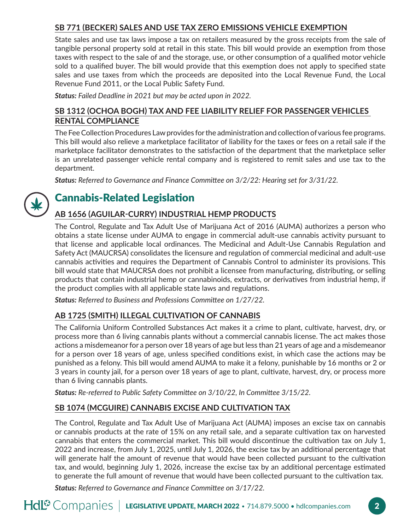## **SB 771 (BECKER) SALES AND USE TAX ZERO EMISSIONS VEHICLE EXEMPTION**

State sales and use tax laws impose a tax on retailers measured by the gross receipts from the sale of tangible personal property sold at retail in this state. This bill would provide an exemption from those taxes with respect to the sale of and the storage, use, or other consumption of a qualified motor vehicle sold to a qualified buyer. The bill would provide that this exemption does not apply to specified state sales and use taxes from which the proceeds are deposited into the Local Revenue Fund, the Local Revenue Fund 2011, or the Local Public Safety Fund.

*Status: Failed Deadline in 2021 but may be acted upon in 2022.*

## **SB 1312 (OCHOA BOGH) TAX AND FEE LIABILITY RELIEF FOR PASSENGER VEHICLES RENTAL COMPLIANCE**

The Fee Collection Procedures Law provides for the administration and collection of various fee programs. This bill would also relieve a marketplace facilitator of liability for the taxes or fees on a retail sale if the marketplace facilitator demonstrates to the satisfaction of the department that the marketplace seller is an unrelated passenger vehicle rental company and is registered to remit sales and use tax to the department.

*Status: Referred to Governance and Finance Committee on 3/2/22: Hearing set for 3/31/22.*



# Cannabis-Related Legislation

## **AB 1656 (AGUILAR-CURRY) INDUSTRIAL HEMP PRODUCTS**

The Control, Regulate and Tax Adult Use of Marijuana Act of 2016 (AUMA) authorizes a person who obtains a state license under AUMA to engage in commercial adult-use cannabis activity pursuant to that license and applicable local ordinances. The Medicinal and Adult-Use Cannabis Regulation and Safety Act (MAUCRSA) consolidates the licensure and regulation of commercial medicinal and adult-use cannabis activities and requires the Department of Cannabis Control to administer its provisions. This bill would state that MAUCRSA does not prohibit a licensee from manufacturing, distributing, or selling products that contain industrial hemp or cannabinoids, extracts, or derivatives from industrial hemp, if the product complies with all applicable state laws and regulations.

*Status: Referred to Business and Professions Committee on 1/27/22.*

# **AB 1725 (SMITH) ILLEGAL CULTIVATION OF CANNABIS**

The California Uniform Controlled Substances Act makes it a crime to plant, cultivate, harvest, dry, or process more than 6 living cannabis plants without a commercial cannabis license. The act makes those actions a misdemeanor for a person over 18 years of age but less than 21 years of age and a misdemeanor for a person over 18 years of age, unless specified conditions exist, in which case the actions may be punished as a felony. This bill would amend AUMA to make it a felony, punishable by 16 months or 2 or 3 years in county jail, for a person over 18 years of age to plant, cultivate, harvest, dry, or process more than 6 living cannabis plants.

*Status: Re-referred to Public Safety Committee on 3/10/22, In Committee 3/15/22.*

## **SB 1074 (MCGUIRE) CANNABIS EXCISE AND CULTIVATION TAX**

The Control, Regulate and Tax Adult Use of Marijuana Act (AUMA) imposes an excise tax on cannabis or cannabis products at the rate of 15% on any retail sale, and a separate cultivation tax on harvested cannabis that enters the commercial market. This bill would discontinue the cultivation tax on July 1, 2022 and increase, from July 1, 2025, until July 1, 2026, the excise tax by an additional percentage that will generate half the amount of revenue that would have been collected pursuant to the cultivation tax, and would, beginning July 1, 2026, increase the excise tax by an additional percentage estimated to generate the full amount of revenue that would have been collected pursuant to the cultivation tax.

*Status: Referred to Governance and Finance Committee on 3/17/22.*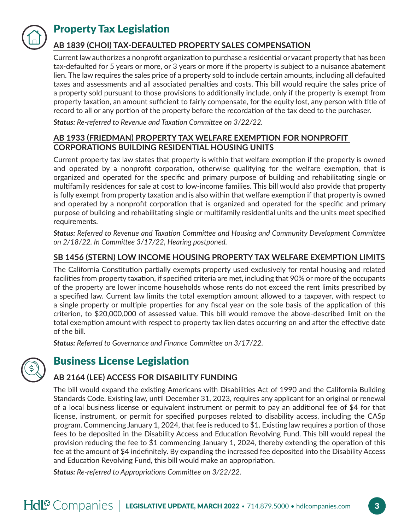

# Property Tax Legislation

## **AB 1839 (CHOI) TAX-DEFAULTED PROPERTY SALES COMPENSATION**

Current law authorizes a nonprofit organization to purchase a residential or vacant property that has been tax-defaulted for 5 years or more, or 3 years or more if the property is subject to a nuisance abatement lien. The law requires the sales price of a property sold to include certain amounts, including all defaulted taxes and assessments and all associated penalties and costs. This bill would require the sales price of a property sold pursuant to those provisions to additionally include, only if the property is exempt from property taxation, an amount sufficient to fairly compensate, for the equity lost, any person with title of record to all or any portion of the property before the recordation of the tax deed to the purchaser.

*Status: Re-referred to Revenue and Taxation Committee on 3/22/22.*

## **AB 1933 (FRIEDMAN) PROPERTY TAX WELFARE EXEMPTION FOR NONPROFIT CORPORATIONS BUILDING RESIDENTIAL HOUSING UNITS**

Current property tax law states that property is within that welfare exemption if the property is owned and operated by a nonprofit corporation, otherwise qualifying for the welfare exemption, that is organized and operated for the specific and primary purpose of building and rehabilitating single or multifamily residences for sale at cost to low-income families. This bill would also provide that property is fully exempt from property taxation and is also within that welfare exemption if that property is owned and operated by a nonprofit corporation that is organized and operated for the specific and primary purpose of building and rehabilitating single or multifamily residential units and the units meet specified requirements.

*Status: Referred to Revenue and Taxation Committee and Housing and Community Development Committee on 2/18/22. In Committee 3/17/22, Hearing postponed.* 

## **SB 1456 (STERN) LOW INCOME HOUSING PROPERTY TAX WELFARE EXEMPTION LIMITS**

The California Constitution partially exempts property used exclusively for rental housing and related facilities from property taxation, if specified criteria are met, including that 90% or more of the occupants of the property are lower income households whose rents do not exceed the rent limits prescribed by a specified law. Current law limits the total exemption amount allowed to a taxpayer, with respect to a single property or multiple properties for any fiscal year on the sole basis of the application of this criterion, to \$20,000,000 of assessed value. This bill would remove the above-described limit on the total exemption amount with respect to property tax lien dates occurring on and after the effective date of the bill.

*Status: Referred to Governance and Finance Committee on 3/17/22.*



# Business License Legislation

## **AB 2164 (LEE) ACCESS FOR DISABILITY FUNDING**

The bill would expand the existing Americans with Disabilities Act of 1990 and the California Building Standards Code. Existing law, until December 31, 2023, requires any applicant for an original or renewal of a local business license or equivalent instrument or permit to pay an additional fee of \$4 for that license, instrument, or permit for specified purposes related to disability access, including the CASp program. Commencing January 1, 2024, that fee is reduced to \$1. Existing law requires a portion of those fees to be deposited in the Disability Access and Education Revolving Fund. This bill would repeal the provision reducing the fee to \$1 commencing January 1, 2024, thereby extending the operation of this fee at the amount of \$4 indefinitely. By expanding the increased fee deposited into the Disability Access and Education Revolving Fund, this bill would make an appropriation.

*Status: Re-referred to Appropriations Committee on 3/22/22.*